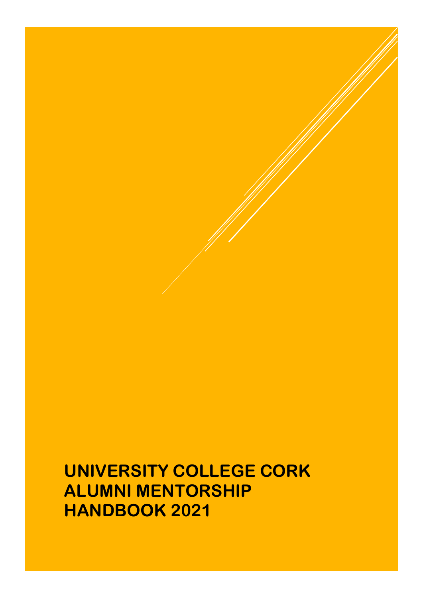# **UNIVERSITY COLLEGE CORK ALUMNI MENTORSHIP HANDBOOK 2021**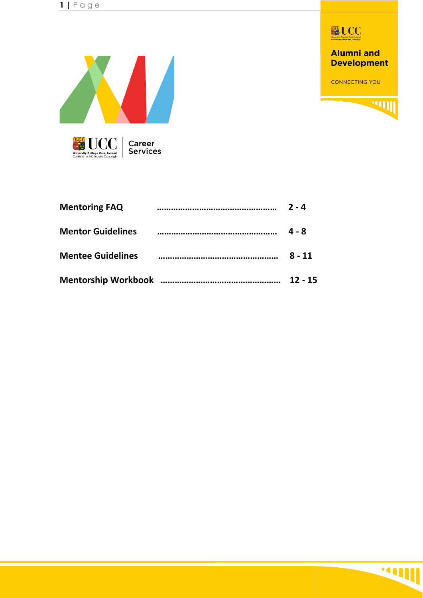

**Alumni and Development** 

**CONNECTING YOU** 

**WING** 



| <b>Mentoring FAQ</b>     | $2 - 4$   |
|--------------------------|-----------|
| <b>Mentor Guidelines</b> | 4 - 8     |
| <b>Mentee Guidelines</b> | $8 - 11$  |
|                          | $12 - 15$ |

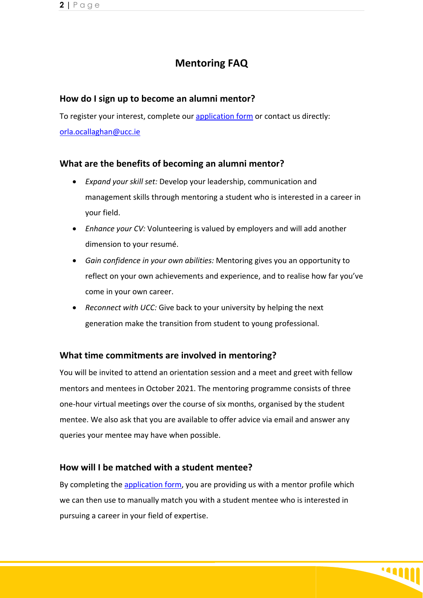# **Mentoring FAQ**

#### **How do I sign up to become an alumni mentor?**

To register your interest, complete our [application form](https://forms.office.com/Pages/DesignPage.aspx?lang=en-US&origin=OfficeDotCom&route=Start#FormId=pVz-Rm-GQk6S6e2HhiRVRXisQlCBgS5KhZgbM-cW_KhUQ0E4SFFET0EwSlJRODQ4WFYwRDhaVUcyVS4u) or contact us directly: [orla.ocallaghan@ucc.ie](mailto:orla.ocallaghan@ucc.ie) 

#### **What are the benefits of becoming an alumni mentor?**

- *Expand your skill set:* Develop your leadership, communication and management skills through mentoring a student who is interested in a career in your field.
- *Enhance your CV:* Volunteering is valued by employers and will add another dimension to your resumé.
- *Gain confidence in your own abilities:* Mentoring gives you an opportunity to reflect on your own achievements and experience, and to realise how far you've come in your own career.
- *Reconnect with UCC:* Give back to your university by helping the next generation make the transition from student to young professional.

#### **What time commitments are involved in mentoring?**

You will be invited to attend an orientation session and a meet and greet with fellow mentors and mentees in October 2021. The mentoring programme consists of three one-hour virtual meetings over the course of six months, organised by the student mentee. We also ask that you are available to offer advice via email and answer any queries your mentee may have when possible.

#### **How will I be matched with a student mentee?**

By completing the [application form,](https://forms.office.com/Pages/DesignPage.aspx?lang=en-US&origin=OfficeDotCom&route=Start#FormId=pVz-Rm-GQk6S6e2HhiRVRXisQlCBgS5KhZgbM-cW_KhUQ0E4SFFET0EwSlJRODQ4WFYwRDhaVUcyVS4u) you are providing us with a mentor profile which we can then use to manually match you with a student mentee who is interested in pursuing a career in your field of expertise.

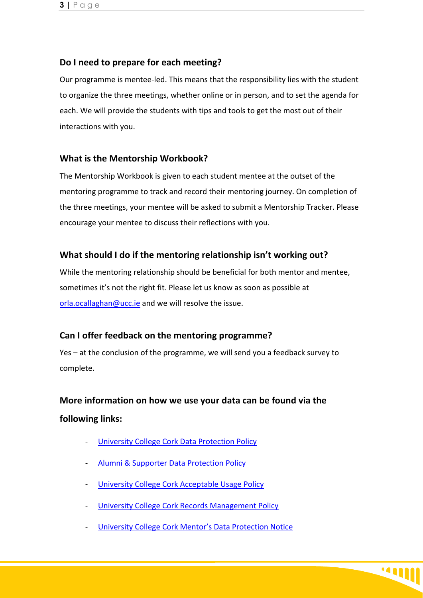#### **Do I need to prepare for each meeting?**

Our programme is mentee-led. This means that the responsibility lies with the student to organize the three meetings, whether online or in person, and to set the agenda for each. We will provide the students with tips and tools to get the most out of their interactions with you.

#### **What is the Mentorship Workbook?**

The Mentorship Workbook is given to each student mentee at the outset of the mentoring programme to track and record their mentoring journey. On completion of the three meetings, your mentee will be asked to submit a Mentorship Tracker. Please encourage your mentee to discuss their reflections with you.

#### **What should I do if the mentoring relationship isn't working out?**

While the mentoring relationship should be beneficial for both mentor and mentee, sometimes it's not the right fit. Please let us know as soon as possible at [orla.ocallaghan@ucc.ie](mailto:orla.ocallaghan@ucc.ie) and we will resolve the issue.

#### **Can I offer feedback on the mentoring programme?**

Yes – at the conclusion of the programme, we will send you a feedback survey to complete.

# **More information on how we use your data can be found via the following links:**

- [University College Cork Data Protection Policy](https://www.ucc.ie/en/media/support/gdpr/DataProtectionPolicyv2.0-UMTOApproved.pdf)
- [Alumni & Supporter Data Protection Policy](https://www.ucc.ie/en/gdpr/dataprotectionnotices/alumniandsupportersdataprotectionnotice/)
- [University College Cork Acceptable Usage Policy](https://www.ucc.ie/en/it-policies/policies/au-pol/)
- **[University College Cork Records Management Policy](https://www.ucc.ie/en/media/support/ocla/universityarchives/documents/RecordsManagmentPolicyDocument.pdf)**
- **[University College Cork Mentor's Data Protection Notice](https://uccireland-my.sharepoint.com/personal/orla_ocallaghan_ucc_ie/Documents/Mentorship%20project%20team/GDPR%20Docs/UCC%20Mentors%20Data%20Protection%20Notice%20V1.docx?web=1)**

**1411**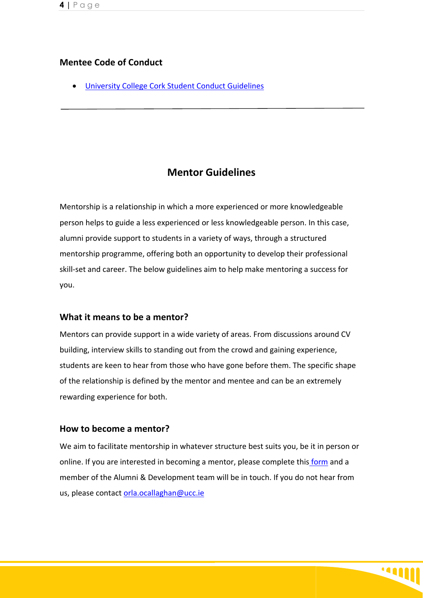#### **Mentee Code of Conduct**

• [University College Cork Student Conduct Guidelines](https://www.ucc.ie/en/media/currentstudents/documents/StudentRules-UCC-Jan2018.pdf)

# **Mentor Guidelines**

Mentorship is a relationship in which a more experienced or more knowledgeable person helps to guide a less experienced or less knowledgeable person. In this case, alumni provide support to students in a variety of ways, through a structured mentorship programme, offering both an opportunity to develop their professional skill-set and career. The below guidelines aim to help make mentoring a success for you.

#### **What it means to be a mentor?**

Mentors can provide support in a wide variety of areas. From discussions around CV building, interview skills to standing out from the crowd and gaining experience, students are keen to hear from those who have gone before them. The specific shape of the relationship is defined by the mentor and mentee and can be an extremely rewarding experience for both.

#### **How to become a mentor?**

We aim to facilitate mentorship in whatever structure best suits you, be it in person or online. If you are interested in becoming a mentor, please complete thi[s form](https://forms.office.com/Pages/DesignPage.aspx?lang=en-US&origin=OfficeDotCom&route=Start#FormId=pVz-Rm-GQk6S6e2HhiRVRXisQlCBgS5KhZgbM-cW_KhUQ0E4SFFET0EwSlJRODQ4WFYwRDhaVUcyVS4u) and a member of the Alumni & Development team will be in touch. If you do not hear from us, please contact [orla.ocallaghan@ucc.ie](mailto:orla.ocallaghan@ucc.ie) 

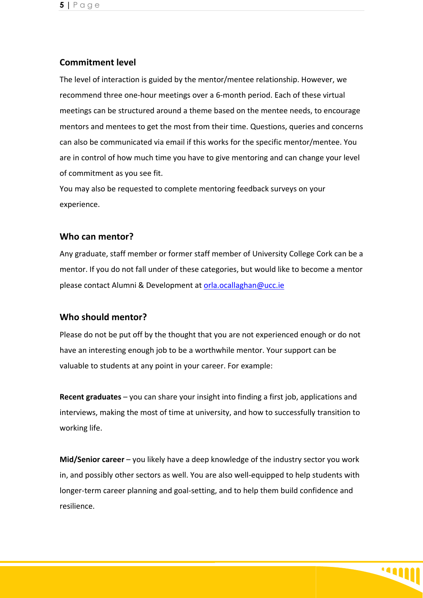#### **Commitment level**

The level of interaction is guided by the mentor/mentee relationship. However, we recommend three one-hour meetings over a 6-month period. Each of these virtual meetings can be structured around a theme based on the mentee needs, to encourage mentors and mentees to get the most from their time. Questions, queries and concerns can also be communicated via email if this works for the specific mentor/mentee. You are in control of how much time you have to give mentoring and can change your level of commitment as you see fit.

You may also be requested to complete mentoring feedback surveys on your experience.

#### **Who can mentor?**

Any graduate, staff member or former staff member of University College Cork can be a mentor. If you do not fall under of these categories, but would like to become a mentor please contact Alumni & Development at [orla.ocallaghan@ucc.ie](mailto:orla.ocallaghan@ucc.ie)

#### **Who should mentor?**

Please do not be put off by the thought that you are not experienced enough or do not have an interesting enough job to be a worthwhile mentor. Your support can be valuable to students at any point in your career. For example:

**Recent graduates** – you can share your insight into finding a first job, applications and interviews, making the most of time at university, and how to successfully transition to working life.

**Mid/Senior career** – you likely have a deep knowledge of the industry sector you work in, and possibly other sectors as well. You are also well-equipped to help students with longer-term career planning and goal-setting, and to help them build confidence and resilience.

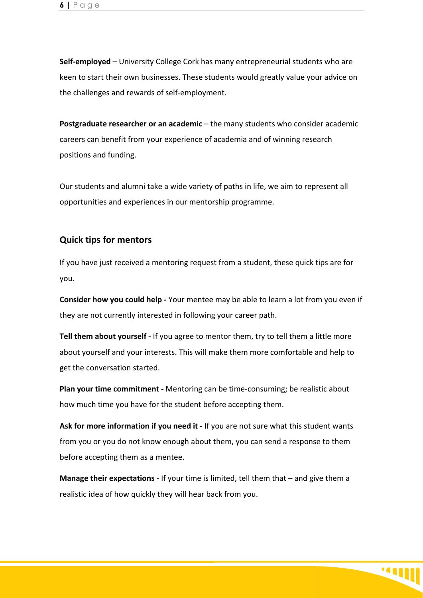**Self-employed** – University College Cork has many entrepreneurial students who are keen to start their own businesses. These students would greatly value your advice on the challenges and rewards of self-employment.

**Postgraduate researcher or an academic** – the many students who consider academic careers can benefit from your experience of academia and of winning research positions and funding.

Our students and alumni take a wide variety of paths in life, we aim to represent all opportunities and experiences in our mentorship programme.

#### **Quick tips for mentors**

If you have just received a mentoring request from a student, these quick tips are for you.

**Consider how you could help -** Your mentee may be able to learn a lot from you even if they are not currently interested in following your career path.

**Tell them about yourself -** If you agree to mentor them, try to tell them a little more about yourself and your interests. This will make them more comfortable and help to get the conversation started.

**Plan your time commitment -** Mentoring can be time-consuming; be realistic about how much time you have for the student before accepting them.

**Ask for more information if you need it -** If you are not sure what this student wants from you or you do not know enough about them, you can send a response to them before accepting them as a mentee.

**Manage their expectations -** If your time is limited, tell them that – and give them a realistic idea of how quickly they will hear back from you.

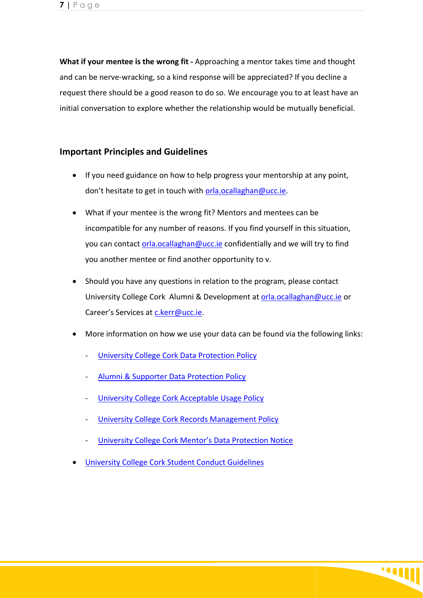**What if your mentee is the wrong fit -** Approaching a mentor takes time and thought and can be nerve-wracking, so a kind response will be appreciated? If you decline a request there should be a good reason to do so. We encourage you to at least have an initial conversation to explore whether the relationship would be mutually beneficial.

#### **Important Principles and Guidelines**

- If you need guidance on how to help progress your mentorship at any point, don't hesitate to get in touch with [orla.ocallaghan@ucc.ie.](mailto:orla.ocallaghan@ucc.ie)
- What if your mentee is the wrong fit? Mentors and mentees can be incompatible for any number of reasons. If you find yourself in this situation, you can contact [orla.ocallaghan@ucc.ie](mailto:orla.ocallaghan@ucc.ie) confidentially and we will try to find you another mentee or find another opportunity to v.
- Should you have any questions in relation to the program, please contact University College Cork Alumni & Development at [orla.ocallaghan@ucc.ie](mailto:orla.ocallaghan@ucc.ie) or Career's Services at [c.kerr@ucc.ie.](mailto:c.kerr@ucc.ie)
- More information on how we use your data can be found via the following links:
	- [University College Cork Data Protection Policy](https://www.ucc.ie/en/media/support/gdpr/DataProtectionPolicyv2.0-UMTOApproved.pdf)
	- [Alumni & Supporter Data Protection Policy](https://www.ucc.ie/en/gdpr/dataprotectionnotices/alumniandsupportersdataprotectionnotice/)
	- [University College Cork Acceptable Usage Policy](https://www.ucc.ie/en/it-policies/policies/au-pol/)
	- [University College Cork Records Management Policy](https://www.ucc.ie/en/media/support/ocla/universityarchives/documents/RecordsManagmentPolicyDocument.pdf)
	- [University College Cork Mentor's Data Protection Notice](https://uccireland-my.sharepoint.com/personal/orla_ocallaghan_ucc_ie/Documents/Mentorship%20project%20team/GDPR%20Docs/UCC%20Mentors%20Data%20Protection%20Notice%20V1.docx?web=1)
- [University College Cork Student Conduct Guidelines](https://www.ucc.ie/en/media/currentstudents/documents/StudentRules-UCC-Jan2018.pdf)

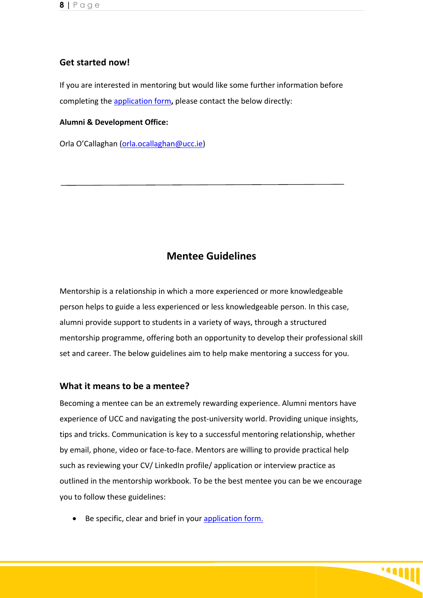#### **Get started now!**

If you are interested in mentoring but would like some further information before completing the [application form](https://forms.office.com/Pages/DesignPage.aspx?lang=en-US&origin=OfficeDotCom&route=Start#FormId=pVz-Rm-GQk6S6e2HhiRVRXisQlCBgS5KhZgbM-cW_KhUQ0E4SFFET0EwSlJRODQ4WFYwRDhaVUcyVS4u)**,** please contact the below directly:

#### **Alumni & Development Office:**

Orla O'Callaghan [\(orla.ocallaghan@ucc.ie\)](mailto:orla.ocallaghan@ucc.ie)

## **Mentee Guidelines**

Mentorship is a relationship in which a more experienced or more knowledgeable person helps to guide a less experienced or less knowledgeable person. In this case, alumni provide support to students in a variety of ways, through a structured mentorship programme, offering both an opportunity to develop their professional skill set and career. The below guidelines aim to help make mentoring a success for you.

#### **What it means to be a mentee?**

Becoming a mentee can be an extremely rewarding experience. Alumni mentors have experience of UCC and navigating the post-university world. Providing unique insights, tips and tricks. Communication is key to a successful mentoring relationship, whether by email, phone, video or face-to-face. Mentors are willing to provide practical help such as reviewing your CV/ LinkedIn profile/ application or interview practice as outlined in the mentorship workbook. To be the best mentee you can be we encourage you to follow these guidelines:

1488

• Be specific, clear and brief in your [application form.](https://forms.office.com/Pages/DesignPage.aspx?lang=en-US&origin=OfficeDotCom&route=Start#FormId=pVz-Rm-GQk6S6e2HhiRVRXisQlCBgS5KhZgbM-cW_KhURFJKVTVWVEo5Q1pTRDFJSk1ONjdYRzJUUS4u)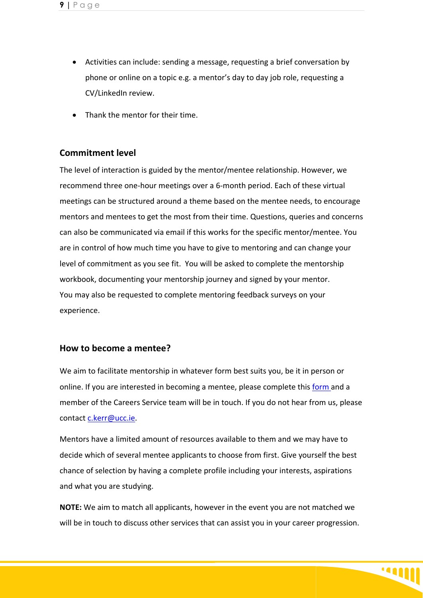- Activities can include: sending a message, requesting a brief conversation by phone or online on a topic e.g. a mentor's day to day job role, requesting a CV/LinkedIn review.
- Thank the mentor for their time.

#### **Commitment level**

The level of interaction is guided by the mentor/mentee relationship. However, we recommend three one-hour meetings over a 6-month period. Each of these virtual meetings can be structured around a theme based on the mentee needs, to encourage mentors and mentees to get the most from their time. Questions, queries and concerns can also be communicated via email if this works for the specific mentor/mentee. You are in control of how much time you have to give to mentoring and can change your level of commitment as you see fit. You will be asked to complete the mentorship workbook, documenting your mentorship journey and signed by your mentor. You may also be requested to complete mentoring feedback surveys on your experience.

#### **How to become a mentee?**

We aim to facilitate mentorship in whatever form best suits you, be it in person or online. If you are interested in becoming a mentee, please complete this [form](https://forms.office.com/Pages/ResponsePage.aspx?id=pVz-Rm-GQk6S6e2HhiRVRXisQlCBgS5KhZgbM-cW_KhURFJKVTVWVEo5Q1pTRDFJSk1ONjdYRzJUUS4u) and a member of the Careers Service team will be in touch. If you do not hear from us, please contact [c.kerr@ucc.ie.](mailto:c.kerr@ucc.ie)

Mentors have a limited amount of resources available to them and we may have to decide which of several mentee applicants to choose from first. Give yourself the best chance of selection by having a complete profile including your interests, aspirations and what you are studying.

**NOTE:** We aim to match all applicants, however in the event you are not matched we will be in touch to discuss other services that can assist you in your career progression.

**MILL**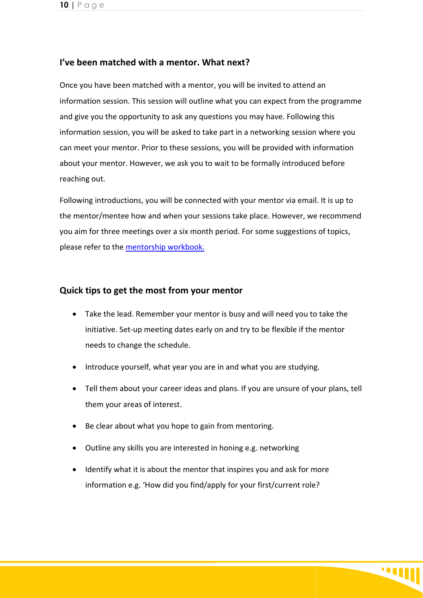#### **I've been matched with a mentor. What next?**

Once you have been matched with a mentor, you will be invited to attend an information session. This session will outline what you can expect from the programme and give you the opportunity to ask any questions you may have. Following this information session, you will be asked to take part in a networking session where you can meet your mentor. Prior to these sessions, you will be provided with information about your mentor. However, we ask you to wait to be formally introduced before reaching out.

Following introductions, you will be connected with your mentor via email. It is up to the mentor/mentee how and when your sessions take place. However, we recommend you aim for three meetings over a six month period. For some suggestions of topics, please refer to the [mentorship workbook.](https://uccireland-my.sharepoint.com/:w:/r/personal/orla_ocallaghan_ucc_ie/_layouts/15/doc2.aspx?sourcedoc=%7B68226E02-AE59-49AA-B072-B0A2839FA48B%7D&file=Mentorship%20Workbook%20-%20V1.docx&action=default&mobileredirect=true&cid=a16a0f81-744d-4e88-b821-5746e8725fca)

#### **Quick tips to get the most from your mentor**

- Take the lead. Remember your mentor is busy and will need you to take the initiative. Set-up meeting dates early on and try to be flexible if the mentor needs to change the schedule.
- Introduce yourself, what year you are in and what you are studying.
- Tell them about your career ideas and plans. If you are unsure of your plans, tell them your areas of interest.
- Be clear about what you hope to gain from mentoring.
- Outline any skills you are interested in honing e.g. networking
- Identify what it is about the mentor that inspires you and ask for more information e.g. 'How did you find/apply for your first/current role?

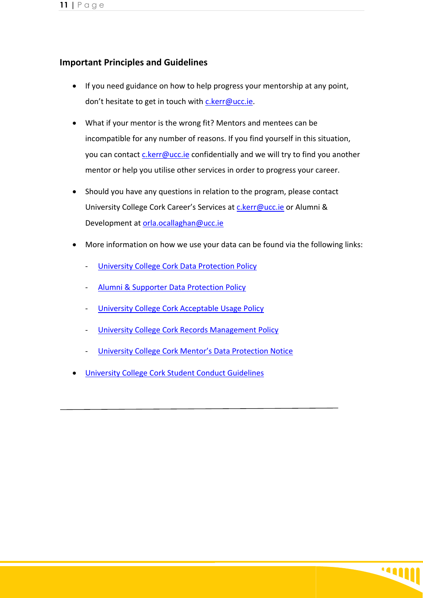#### **Important Principles and Guidelines**

- If you need guidance on how to help progress your mentorship at any point, don't hesitate to get in touch with [c.kerr@ucc.ie.](mailto:c.kerr@ucc.ie)
- What if your mentor is the wrong fit? Mentors and mentees can be incompatible for any number of reasons. If you find yourself in this situation, you can contact [c.kerr@ucc.ie](mailto:c.kerr@ucc.ie) confidentially and we will try to find you another mentor or help you utilise other services in order to progress your career.
- Should you have any questions in relation to the program, please contact University College Cork Career's Services at [c.kerr@ucc.ie](mailto:c.kerr@ucc.ie) or Alumni & Development at [orla.ocallaghan@ucc.ie](mailto:orla.ocallaghan@ucc.ie)
- More information on how we use your data can be found via the following links:
	- [University College Cork Data Protection Policy](https://www.ucc.ie/en/media/support/gdpr/DataProtectionPolicyv2.0-UMTOApproved.pdf)
	- [Alumni & Supporter Data Protection Policy](https://www.ucc.ie/en/gdpr/dataprotectionnotices/alumniandsupportersdataprotectionnotice/)
	- [University College Cork Acceptable Usage Policy](https://www.ucc.ie/en/it-policies/policies/au-pol/)
	- **[University College Cork Records Management Policy](https://www.ucc.ie/en/media/support/ocla/universityarchives/documents/RecordsManagmentPolicyDocument.pdf)**
	- [University College Cork Mentor's Data Protection Notice](https://uccireland-my.sharepoint.com/personal/orla_ocallaghan_ucc_ie/Documents/Mentorship%20project%20team/GDPR%20Docs/UCC%20Mentors%20Data%20Protection%20Notice%20V1.docx?web=1)
- [University College Cork Student Conduct Guidelines](https://www.ucc.ie/en/media/currentstudents/documents/StudentRules-UCC-Jan2018.pdf)

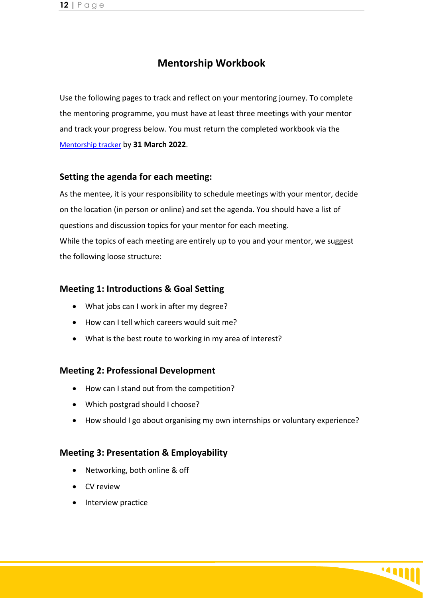# **Mentorship Workbook**

Use the following pages to track and reflect on your mentoring journey. To complete the mentoring programme, you must have at least three meetings with your mentor and track your progress below. You must return the completed workbook via the [Mentorship tracker](https://forms.office.com/Pages/DesignPage.aspx?auth_pvr=OrgId&auth_upn=orla.ocallaghan%40ucc.ie&origin=OfficeDotCom&lang=en-US&route=Start#FormId=pVz-Rm-GQk6S6e2HhiRVRXisQlCBgS5KhZgbM-cW_KhUOUxSREpaVTVJV1BVVEpXVTdOSjNIVUVQRi4u&Preview=%7B%22PreviousTopView%22%3A%22None%22%7D) by **31 March 2022**.

#### **Setting the agenda for each meeting:**

As the mentee, it is your responsibility to schedule meetings with your mentor, decide on the location (in person or online) and set the agenda. You should have a list of questions and discussion topics for your mentor for each meeting. While the topics of each meeting are entirely up to you and your mentor, we suggest the following loose structure:

#### **Meeting 1: Introductions & Goal Setting**

- What jobs can I work in after my degree?
- How can I tell which careers would suit me?
- What is the best route to working in my area of interest?

#### **Meeting 2: Professional Development**

- How can I stand out from the competition?
- Which postgrad should I choose?
- How should I go about organising my own internships or voluntary experience?

#### **Meeting 3: Presentation & Employability**

- Networking, both online & off
- CV review
- Interview practice

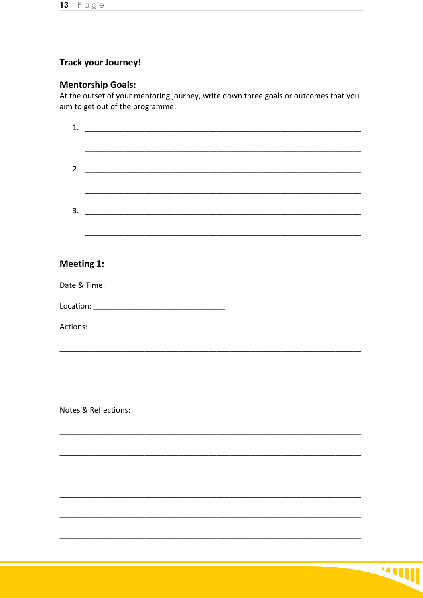# **Track your Journey!**

# **Mentorship Goals:**

At the outset of your mentoring journey, write down three goals or outcomes that you aim to get out of the programme:

| 1.                   |                                                                                                                       |
|----------------------|-----------------------------------------------------------------------------------------------------------------------|
|                      |                                                                                                                       |
|                      | <u> 1989 - Johann Stoff, deutscher Stoff, der Stoff, der Stoff, der Stoff, der Stoff, der Stoff, der Stoff, der S</u> |
| 2.                   |                                                                                                                       |
|                      |                                                                                                                       |
|                      |                                                                                                                       |
| 3.                   |                                                                                                                       |
|                      |                                                                                                                       |
|                      |                                                                                                                       |
| <b>Meeting 1:</b>    |                                                                                                                       |
|                      |                                                                                                                       |
|                      |                                                                                                                       |
|                      |                                                                                                                       |
| Actions:             |                                                                                                                       |
|                      |                                                                                                                       |
|                      |                                                                                                                       |
|                      |                                                                                                                       |
|                      |                                                                                                                       |
|                      |                                                                                                                       |
| Notes & Reflections: |                                                                                                                       |
|                      |                                                                                                                       |
|                      |                                                                                                                       |
|                      |                                                                                                                       |
|                      |                                                                                                                       |
|                      |                                                                                                                       |
|                      |                                                                                                                       |
|                      |                                                                                                                       |
|                      |                                                                                                                       |
|                      |                                                                                                                       |

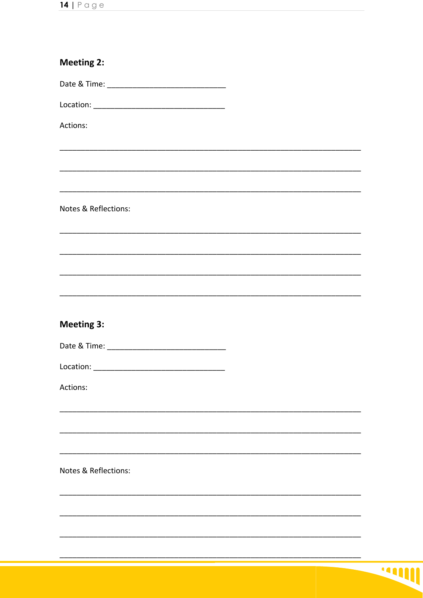| Actions:          |                      |  |  |  |
|-------------------|----------------------|--|--|--|
|                   |                      |  |  |  |
|                   |                      |  |  |  |
|                   |                      |  |  |  |
|                   |                      |  |  |  |
|                   | Notes & Reflections: |  |  |  |
|                   |                      |  |  |  |
|                   |                      |  |  |  |
|                   |                      |  |  |  |
|                   |                      |  |  |  |
|                   |                      |  |  |  |
| <b>Meeting 3:</b> |                      |  |  |  |
|                   |                      |  |  |  |
|                   |                      |  |  |  |
| Actions:          |                      |  |  |  |
|                   |                      |  |  |  |
|                   |                      |  |  |  |
|                   |                      |  |  |  |
|                   |                      |  |  |  |
|                   | Notes & Reflections: |  |  |  |
|                   |                      |  |  |  |
|                   |                      |  |  |  |
|                   |                      |  |  |  |